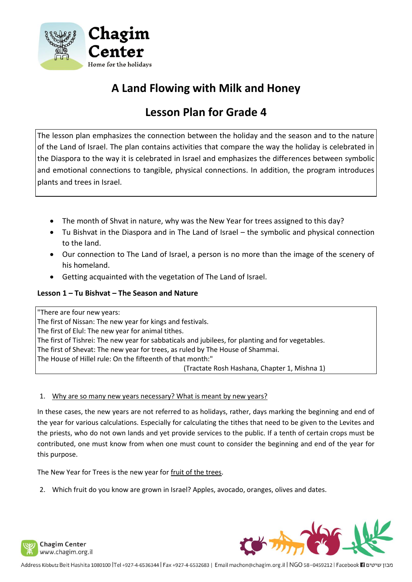

# **A Land Flowing with Milk and Honey**

# **Lesson Plan for Grade 4**

The lesson plan emphasizes the connection between the holiday and the season and to the nature of the Land of Israel. The plan contains activities that compare the way the holiday is celebrated in the Diaspora to the way it is celebrated in Israel and emphasizes the differences between symbolic and emotional connections to tangible, physical connections. In addition, the program introduces plants and trees in Israel.

- The month of Shvat in nature, why was the New Year for trees assigned to this day?
- Tu Bishvat in the Diaspora and in The Land of Israel the symbolic and physical connection to the land.
- Our connection to The Land of Israel, a person is no more than the image of the scenery of his homeland.
- Getting acquainted with the vegetation of The Land of Israel.

## **Lesson 1 – Tu Bishvat – The Season and Nature**

"There are four new years: The first of Nissan: The new year for kings and festivals. The first of Elul: The new year for animal tithes. The first of Tishrei: The new year for sabbaticals and jubilees, for planting and for vegetables. The first of Shevat: The new year for trees, as ruled by The House of Shammai. The House of Hillel rule: On the fifteenth of that month:" (Tractate Rosh Hashana, Chapter 1, Mishna 1)

## 1. Why are so many new years necessary? What is meant by new years?

In these cases, the new years are not referred to as holidays, rather, days marking the beginning and end of the year for various calculations. Especially for calculating the tithes that need to be given to the Levites and the priests, who do not own lands and yet provide services to the public. If a tenth of certain crops must be contributed, one must know from when one must count to consider the beginning and end of the year for this purpose.

The New Year for Trees is the new year for fruit of the trees.

2. Which fruit do you know are grown in Israel? Apples, avocado, oranges, olives and dates.



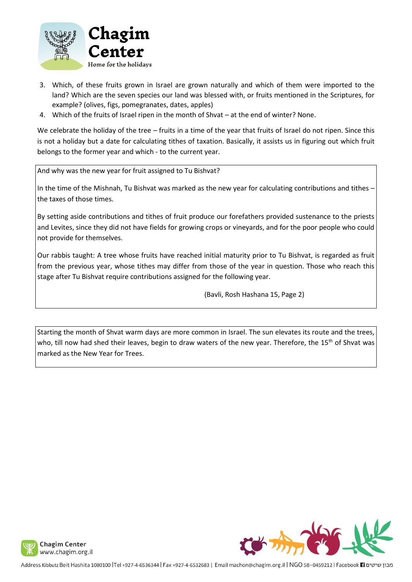

- 3. Which, of these fruits grown in Israel are grown naturally and which of them were imported to the land? Which are the seven species our land was blessed with, or fruits mentioned in the Scriptures, for example? (olives, figs, pomegranates, dates, apples)
- 4. Which of the fruits of Israel ripen in the month of Shvat at the end of winter? None.

We celebrate the holiday of the tree – fruits in a time of the year that fruits of Israel do not ripen. Since this is not a holiday but a date for calculating tithes of taxation. Basically, it assists us in figuring out which fruit belongs to the former year and which - to the current year.

And why was the new year for fruit assigned to Tu Bishvat?

In the time of the Mishnah, Tu Bishvat was marked as the new year for calculating contributions and tithes – the taxes of those times.

By setting aside contributions and tithes of fruit produce our forefathers provided sustenance to the priests and Levites, since they did not have fields for growing crops or vineyards, and for the poor people who could not provide for themselves.

Our rabbis taught: A tree whose fruits have reached initial maturity prior to Tu Bishvat, is regarded as fruit from the previous year, whose tithes may differ from those of the year in question. Those who reach this stage after Tu Bishvat require contributions assigned for the following year.

(Bavli, Rosh Hashana 15, Page 2)

Starting the month of Shvat warm days are more common in Israel. The sun elevates its route and the trees, who, till now had shed their leaves, begin to draw waters of the new year. Therefore, the 15<sup>th</sup> of Shvat was marked as the New Year for Trees.

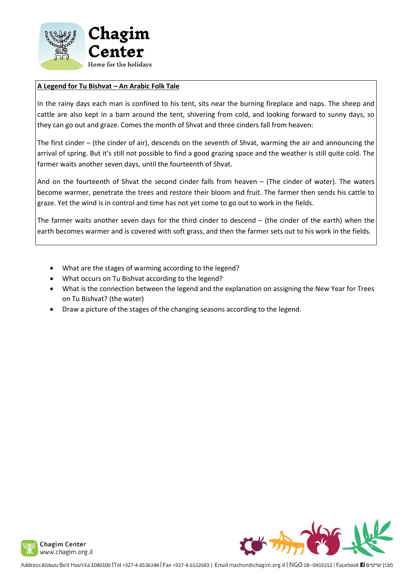

## **A Legend for Tu Bishvat – An Arabic Folk Tale**

In the rainy days each man is confined to his tent, sits near the burning fireplace and naps. The sheep and cattle are also kept in a barn around the tent, shivering from cold, and looking forward to sunny days, so they can go out and graze. Comes the month of Shvat and three cinders fall from heaven:

The first cinder – (the cinder of air), descends on the seventh of Shvat, warming the air and announcing the arrival of spring. But it's still not possible to find a good grazing space and the weather is still quite cold. The farmer waits another seven days, until the fourteenth of Shvat.

And on the fourteenth of Shvat the second cinder falls from heaven – (The cinder of water). The waters become warmer, penetrate the trees and restore their bloom and fruit. The farmer then sends his cattle to graze. Yet the wind is in control and time has not yet come to go out to work in the fields.

The farmer waits another seven days for the third cinder to descend – (the cinder of the earth) when the earth becomes warmer and is covered with soft grass, and then the farmer sets out to his work in the fields.

- What are the stages of warming according to the legend?
- What occurs on Tu Bishvat according to the legend?
- What is the connection between the legend and the explanation on assigning the New Year for Trees on Tu Bishvat? (the water)
- Draw a picture of the stages of the changing seasons according to the legend.

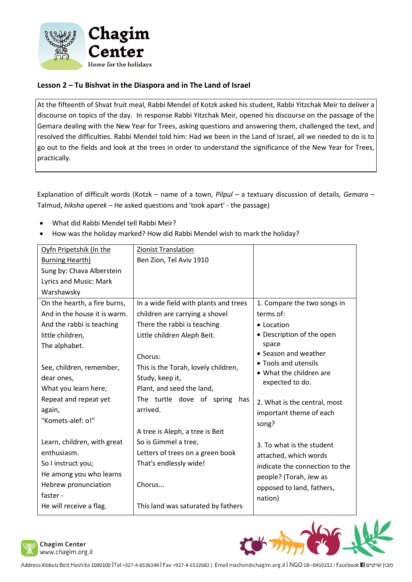

# **Lesson 2 – Tu Bishvat in the Diaspora and in The Land of Israel**

At the fifteenth of Shvat fruit meal, Rabbi Mendel of Kotzk asked his student, Rabbi Yitzchak Meir to deliver a discourse on topics of the day. In response Rabbi Yitzchak Meir, opened his discourse on the passage of the Gemara dealing with the New Year for Trees, asking questions and answering them, challenged the text, and resolved the difficulties. Rabbi Mendel told him: Had we been in the Land of Israel, all we needed to do is to go out to the fields and look at the trees in order to understand the significance of the New Year for Trees, practically.

Explanation of difficult words (Kotzk – name of a town, *Pilpul* – a textuary discussion of details, *Gemara* – Talmud, *hiksha uperek* – He asked questions and 'took apart' - the passage)

- What did Rabbi Mendel tell Rabbi Meir?
- How was the holiday marked? How did Rabbi Mendel wish to mark the holiday?

| Oyfn Pripetshik (In the      | <b>Zionist Translation</b>            |                                |
|------------------------------|---------------------------------------|--------------------------------|
| <b>Burning Hearth)</b>       | Ben Zion, Tel Aviv 1910               |                                |
| Sung by: Chava Alberstein    |                                       |                                |
| Lyrics and Music: Mark       |                                       |                                |
| Warshawsky                   |                                       |                                |
| On the hearth, a fire burns, | In a wide field with plants and trees | 1. Compare the two songs in    |
| And in the house it is warm. | children are carrying a shovel        | terms of:                      |
| And the rabbi is teaching    | There the rabbi is teaching           | • Location                     |
| little children,             | Little children Aleph Beit.           | • Description of the open      |
| The alphabet.                |                                       | space                          |
|                              | Chorus:                               | • Season and weather           |
| See, children, remember,     | This is the Torah, lovely children,   | • Tools and utensils           |
| dear ones,                   | Study, keep it,                       | • What the children are        |
| What you learn here;         | Plant, and seed the land,             | expected to do.                |
| Repeat and repeat yet        | The turtle dove of spring<br>has      | 2. What is the central, most   |
| again,                       | arrived.                              | important theme of each        |
| "Komets-alef: o!"            |                                       | song?                          |
|                              | A tree is Aleph, a tree is Beit       |                                |
| Learn, children, with great  | So is Gimmel a tree,                  | 3. To what is the student      |
| enthusiasm.                  | Letters of trees on a green book      | attached, which words          |
| So I instruct you;           | That's endlessly wide!                | indicate the connection to the |
| He among you who learns      |                                       | people? (Torah, Jew as         |
| Hebrew pronunciation         | Chorus                                |                                |
| faster -                     |                                       | opposed to land, fathers,      |
| He will receive a flag.      | This land was saturated by fathers    | nation)                        |



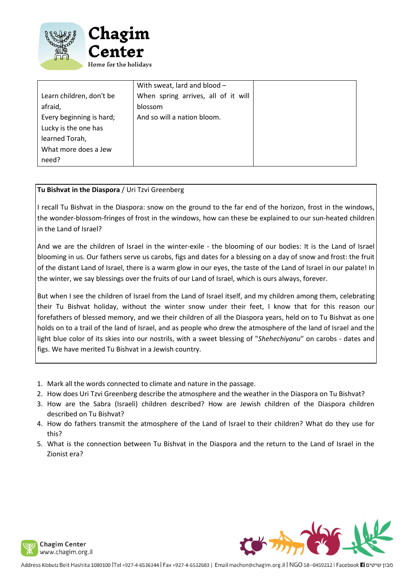

|                          | With sweat, lard and blood -        |
|--------------------------|-------------------------------------|
| Learn children, don't be | When spring arrives, all of it will |
| afraid,                  | blossom                             |
| Every beginning is hard; | And so will a nation bloom.         |
| Lucky is the one has     |                                     |
| learned Torah,           |                                     |
| What more does a Jew     |                                     |
| need?                    |                                     |

#### **Tu Bishvat in the Diaspora** / Uri Tzvi Greenberg

I recall Tu Bishvat in the Diaspora: snow on the ground to the far end of the horizon, frost in the windows, the wonder-blossom-fringes of frost in the windows, how can these be explained to our sun-heated children in the Land of Israel?

And we are the children of Israel in the winter-exile - the blooming of our bodies: It is the Land of Israel blooming in us. Our fathers serve us carobs, figs and dates for a blessing on a day of snow and frost: the fruit of the distant Land of Israel, there is a warm glow in our eyes, the taste of the Land of Israel in our palate! In the winter, we say blessings over the fruits of our Land of Israel, which is ours always, forever.

But when I see the children of Israel from the Land of Israel itself, and my children among them, celebrating their Tu Bishvat holiday, without the winter snow under their feet, I know that for this reason our forefathers of blessed memory, and we their children of all the Diaspora years, held on to Tu Bishvat as one holds on to a trail of the land of Israel, and as people who drew the atmosphere of the land of Israel and the light blue color of its skies into our nostrils, with a sweet blessing of "*Shehechiyanu*" on carobs - dates and figs. We have merited Tu Bishvat in a Jewish country.

- 1. Mark all the words connected to climate and nature in the passage.
- 2. How does Uri Tzvi Greenberg describe the atmosphere and the weather in the Diaspora on Tu Bishvat?
- 3. How are the Sabra (Israeli) children described? How are Jewish children of the Diaspora children described on Tu Bishvat?
- 4. How do fathers transmit the atmosphere of the Land of Israel to their children? What do they use for this?
- 5. What is the connection between Tu Bishvat in the Diaspora and the return to the Land of Israel in the Zionist era?



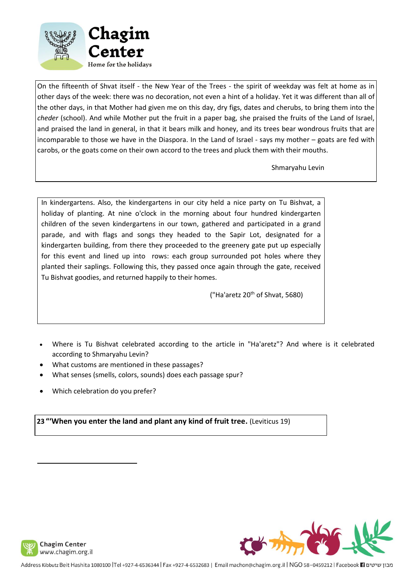

On the fifteenth of Shvat itself - the New Year of the Trees - the spirit of weekday was felt at home as in other days of the week: there was no decoration, not even a hint of a holiday. Yet it was different than all of the other days, in that Mother had given me on this day, dry figs, dates and cherubs, to bring them into the *cheder* (school). And while Mother put the fruit in a paper bag, she praised the fruits of the Land of Israel, and praised the land in general, in that it bears milk and honey, and its trees bear wondrous fruits that are incomparable to those we have in the Diaspora. In the Land of Israel - says my mother – goats are fed with carobs, or the goats come on their own accord to the trees and pluck them with their mouths.

Shmaryahu Levin

In kindergartens. Also, the kindergartens in our city held a nice party on Tu Bishvat, a holiday of planting. At nine o'clock in the morning about four hundred kindergarten children of the seven kindergartens in our town, gathered and participated in a grand parade, and with flags and songs they headed to the Sapir Lot, designated for a kindergarten building, from there they proceeded to the greenery gate put up especially for this event and lined up into rows: each group surrounded pot holes where they planted their saplings. Following this, they passed once again through the gate, received Tu Bishvat goodies, and returned happily to their homes.

("Ha'aretz  $20<sup>th</sup>$  of Shvat, 5680)

- Where is Tu Bishvat celebrated according to the article in "Ha'aretz"? And where is it celebrated according to Shmaryahu Levin?
- What customs are mentioned in these passages?
- What senses (smells, colors, sounds) does each passage spur?
- Which celebration do you prefer?

**23 "'When you enter the land and plant any kind of fruit tree.** (Leviticus 19)



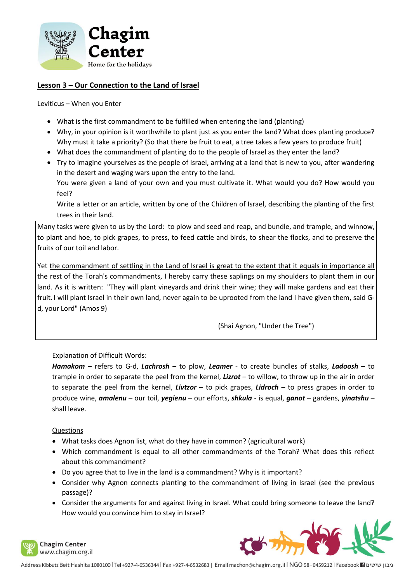

## **Lesson 3 – Our Connection to the Land of Israel**

#### Leviticus – When you Enter

- What is the first commandment to be fulfilled when entering the land (planting)
- Why, in your opinion is it worthwhile to plant just as you enter the land? What does planting produce? Why must it take a priority? (So that there be fruit to eat, a tree takes a few years to produce fruit)
- What does the commandment of planting do to the people of Israel as they enter the land?
- Try to imagine yourselves as the people of Israel, arriving at a land that is new to you, after wandering in the desert and waging wars upon the entry to the land. You were given a land of your own and you must cultivate it. What would you do? How would you

feel?

Write a letter or an article, written by one of the Children of Israel, describing the planting of the first trees in their land.

Many tasks were given to us by the Lord: to plow and seed and reap, and bundle, and trample, and winnow, to plant and hoe, to pick grapes, to press, to feed cattle and birds, to shear the flocks, and to preserve the fruits of our toil and labor.

Yet the commandment of settling in the Land of Israel is great to the extent that it equals in importance all the rest of the Torah's commandments, I hereby carry these saplings on my shoulders to plant them in our land. As it is written: "They will plant vineyards and drink their wine; they will make gardens and eat their fruit. I will plant Israel in their own land, never again to be uprooted from the land I have given them, said Gd, your Lord" (Amos 9)

(Shai Agnon, "Under the Tree")

## Explanation of Difficult Words:

*Hamakom* – refers to G-d, *Lachrosh* – to plow, *Leamer* - to create bundles of stalks, *Ladoosh* **–** to trample in order to separate the peel from the kernel, *Lizrot* – to willow, to throw up in the air in order to separate the peel from the kernel, *Livtzor* – to pick grapes, *Lidroch* – to press grapes in order to produce wine, *amalenu* – our toil, *yegienu* – our efforts, *shkula* - is equal, *ganot* – gardens, *yinatshu* – shall leave.

#### Questions

- What tasks does Agnon list, what do they have in common? (agricultural work)
- Which commandment is equal to all other commandments of the Torah? What does this reflect about this commandment?
- Do you agree that to live in the land is a commandment? Why is it important?
- Consider why Agnon connects planting to the commandment of living in Israel (see the previous passage)?
- Consider the arguments for and against living in Israel. What could bring someone to leave the land? How would you convince him to stay in Israel?





מבון שיטים Facebook 11 ו-1932 Address Kibbutz Beit Hashita 1080100 |Tel +927-4-6530344 | Fax +927-4-6532683 | Email machon@chagim.org.il | NGO 58-0459212 | Facebook 1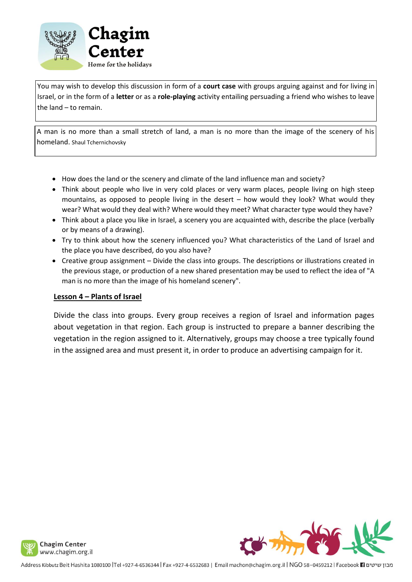

You may wish to develop this discussion in form of a **court case** with groups arguing against and for living in Israel, or in the form of a **letter** or as a **role-playing** activity entailing persuading a friend who wishes to leave the land – to remain.

A man is no more than a small stretch of land, a man is no more than the image of the scenery of his homeland. Shaul Tchernichovsky

- How does the land or the scenery and climate of the land influence man and society?
- Think about people who live in very cold places or very warm places, people living on high steep mountains, as opposed to people living in the desert – how would they look? What would they wear? What would they deal with? Where would they meet? What character type would they have?
- Think about a place you like in Israel, a scenery you are acquainted with, describe the place (verbally or by means of a drawing).
- Try to think about how the scenery influenced you? What characteristics of the Land of Israel and the place you have described, do you also have?
- Creative group assignment Divide the class into groups. The descriptions or illustrations created in the previous stage, or production of a new shared presentation may be used to reflect the idea of "A man is no more than the image of his homeland scenery".

#### **Lesson 4 – Plants of Israel**

Divide the class into groups. Every group receives a region of Israel and information pages about vegetation in that region. Each group is instructed to prepare a banner describing the vegetation in the region assigned to it. Alternatively, groups may choose a tree typically found in the assigned area and must present it, in order to produce an advertising campaign for it.

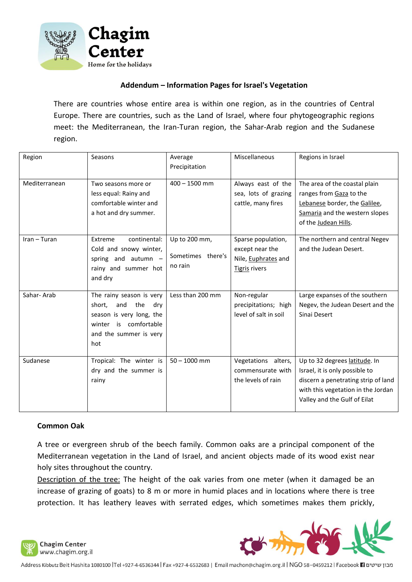

## **Addendum – Information Pages for Israel's Vegetation**

There are countries whose entire area is within one region, as in the countries of Central Europe. There are countries, such as the Land of Israel, where four phytogeographic regions meet: the Mediterranean, the Iran-Turan region, the Sahar-Arab region and the Sudanese region.

| Region        | Seasons                                                                                                                                       | Average<br>Precipitation                      | Miscellaneous                                                                 | Regions in Israel                                                                                                                                                            |
|---------------|-----------------------------------------------------------------------------------------------------------------------------------------------|-----------------------------------------------|-------------------------------------------------------------------------------|------------------------------------------------------------------------------------------------------------------------------------------------------------------------------|
| Mediterranean | Two seasons more or<br>less equal: Rainy and<br>comfortable winter and<br>a hot and dry summer.                                               | $400 - 1500$ mm                               | Always east of the<br>sea, lots of grazing<br>cattle, many fires              | The area of the coastal plain<br>ranges from Gaza to the<br>Lebanese border, the Galilee,<br>Samaria and the western slopes<br>of the Judean Hills.                          |
| Iran - Turan  | Extreme<br>continental:<br>Cold and snowy winter,<br>spring and autumn -<br>rainy and summer hot<br>and dry                                   | Up to 200 mm,<br>Sometimes there's<br>no rain | Sparse population,<br>except near the<br>Nile, Euphrates and<br>Tigris rivers | The northern and central Negev<br>and the Judean Desert.                                                                                                                     |
| Sahar-Arab    | The rainy season is very<br>short,<br>and<br>the<br>dry<br>season is very long, the<br>winter is comfortable<br>and the summer is very<br>hot | Less than 200 mm                              | Non-regular<br>precipitations; high<br>level of salt in soil                  | Large expanses of the southern<br>Negev, the Judean Desert and the<br>Sinai Desert                                                                                           |
| Sudanese      | Tropical: The winter is<br>dry and the summer is<br>rainy                                                                                     | $50 - 1000$ mm                                | Vegetations alters,<br>commensurate with<br>the levels of rain                | Up to 32 degrees latitude. In<br>Israel, it is only possible to<br>discern a penetrating strip of land<br>with this vegetation in the Jordan<br>Valley and the Gulf of Eilat |

#### **Common Oak**

A tree or evergreen shrub of the beech family. Common oaks are a principal component of the Mediterranean vegetation in the Land of Israel, and ancient objects made of its wood exist near holy sites throughout the country.

Description of the tree: The height of the oak varies from one meter (when it damaged be an increase of grazing of goats) to 8 m or more in humid places and in locations where there is tree protection. It has leathery leaves with serrated edges, which sometimes makes them prickly,



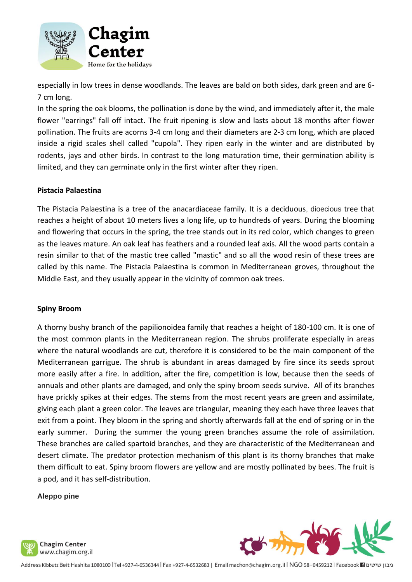

especially in low trees in dense woodlands. The leaves are bald on both sides, dark green and are 6- 7 cm long.

In the spring the oak blooms, the pollination is done by the wind, and immediately after it, the male flower "earrings" fall off intact. The fruit ripening is slow and lasts about 18 months after flower pollination. The fruits are acorns 3-4 cm long and their diameters are 2-3 cm long, which are placed inside a rigid scales shell called "cupola". They ripen early in the winter and are distributed by rodents, jays and other birds. In contrast to the long maturation time, their germination ability is limited, and they can germinate only in the first winter after they ripen.

## **Pistacia Palaestina**

The Pistacia Palaestina is a tree of the anacardiaceae family. It is a deciduous, dioecious tree that reaches a height of about 10 meters lives a long life, up to hundreds of years. During the blooming and flowering that occurs in the spring, the tree stands out in its red color, which changes to green as the leaves mature. An oak leaf has feathers and a rounded leaf axis. All the wood parts contain a resin similar to that of the mastic tree called "mastic" and so all the wood resin of these trees are called by this name. The Pistacia Palaestina is common in Mediterranean groves, throughout the Middle East, and they usually appear in the vicinity of common oak trees.

#### **Spiny Broom**

A thorny bushy branch of the papilionoidea family that reaches a height of 180-100 cm. It is one of the most common plants in the Mediterranean region. The shrubs proliferate especially in areas where the natural woodlands are cut, therefore it is considered to be the main component of the Mediterranean garrigue. The shrub is abundant in areas damaged by fire since its seeds sprout more easily after a fire. In addition, after the fire, competition is low, because then the seeds of annuals and other plants are damaged, and only the spiny broom seeds survive. All of its branches have prickly spikes at their edges. The stems from the most recent years are green and assimilate, giving each plant a green color. The leaves are triangular, meaning they each have three leaves that exit from a point. They bloom in the spring and shortly afterwards fall at the end of spring or in the early summer. During the summer the young green branches assume the role of assimilation. These branches are called spartoid branches, and they are characteristic of the Mediterranean and desert climate. The predator protection mechanism of this plant is its thorny branches that make them difficult to eat. Spiny broom flowers are yellow and are mostly pollinated by bees. The fruit is a pod, and it has self-distribution.

#### **Aleppo pine**